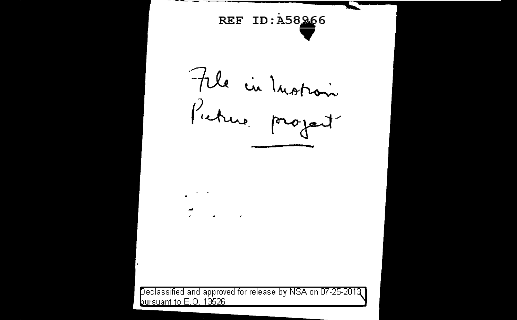**REF ID:A58266**  $\blacktriangledown$ File in Inotion

Declassified and approved for release by NSA on 07-25-2013 bursuant to E.O. 13526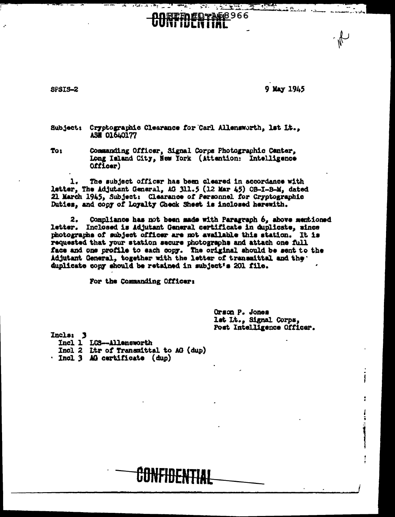8PSIS-2

9 May 1945

12. .

 $\sqrt{2}$  ,  $\sqrt{2}$  ,  $\sqrt{2}$  ,  $\sqrt{2}$  ,  $\sqrt{2}$  ,  $\sqrt{2}$  ,  $\sqrt{2}$  ,  $\sqrt{2}$  ,  $\sqrt{2}$ 

**DOREEDEDYAD8966** HJEITHIAL

Subject: Cryptographic Clearance for Carl Allensworth. 1st It.. **ASH 01640177** 

To: Commanding Officer, Signal Corps Photographic Center, Long Island City, New York (Attention: Intelligence (10ofil0

 $\mathbf{I}$ . The subject officer has been cleared in accordance with letter, The Adjutant General, AG 311.5 (12 Mar 45) OB-I-B-M, dated 21 March 1945, Subject: Clearance of Personnel for Cryptographic Duties, and copy of loyalty Check Sheet is inclosed herewith.

Compliance has not been made with Paragraph 6, above mentioned 2. letter. Inclosed is Adjutant General certificate in duplicate, since photographs of subject officer are not available this station. It is requested that your station secure photographs and attach one full face and one profile to each copy. The original should be sent to the Adjutant General, together with the letter of transmittal and the. duplicate copy should be retained in subject's 201 file.

For the Commanding Officer:

Orson P. Jones lat Lt., Signal Corps, Post Intelligence Officer.

Incls: 3

Incl 1 LCS-Allensworth

- Incl 2 Ltr of Transmittal to AG (dup)
- · Incl 3 AG certificate (dup)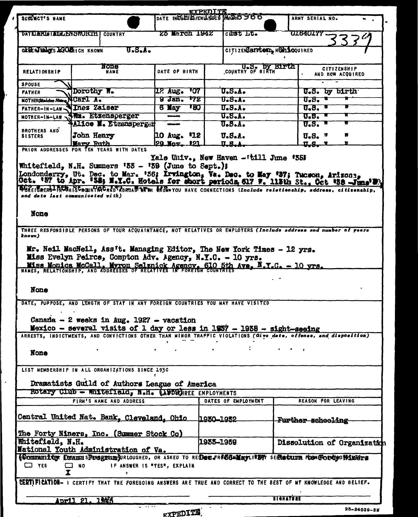|                                                 |                |                         |                                                                                                                         | EXPEDITE  |                     |                              |                                          |                             |
|-------------------------------------------------|----------------|-------------------------|-------------------------------------------------------------------------------------------------------------------------|-----------|---------------------|------------------------------|------------------------------------------|-----------------------------|
| SUESSCT'S NAME                                  |                |                         | DATE INENETE /ENTIRES AND 3966                                                                                          |           |                     |                              | ARMY SERIAL NO.                          |                             |
| DATE AFLE LALLENSHORTH COUNTRY                  |                |                         | 25 March 1942                                                                                                           |           | curst Lt.           |                              | <b>UL640177</b>                          |                             |
|                                                 |                |                         |                                                                                                                         |           |                     |                              |                                          |                             |
| OFFERINANCES & PORTHICH KNOWN                   |                | $UzSzAz$                |                                                                                                                         |           |                     | CITIZENSBIPLOND, HORLOQUIRED |                                          |                             |
|                                                 |                |                         |                                                                                                                         |           |                     |                              |                                          |                             |
| None<br><b>RELATIONSHIP</b><br><b>NAME</b>      |                |                         | DATE OF BIRTH                                                                                                           |           | COUNTRY OF BIRTH    |                              | <b>CITIZENSHIP</b>                       |                             |
|                                                 |                |                         |                                                                                                                         |           |                     |                              |                                          | AND HOW ACQUIRED            |
| <b>SPOUSE</b>                                   |                |                         |                                                                                                                         |           |                     |                              |                                          |                             |
| <b>FATHER</b>                                   | Dorothy W.     |                         | <b>107</b><br>12 Aug.                                                                                                   |           | 0.5.1.              |                              | U.S. by birth                            |                             |
| <b>MOTHER Maiden Nume NCATI A.</b>              |                |                         | 9 Jan.<br>172                                                                                                           |           | U.S.A.              |                              | $0.5 - 1$                                |                             |
| FATHER-IN-LAW VInez Zaiser                      |                |                         | 6 Nay<br>180                                                                                                            |           | U.S.A.              |                              | $\sqrt{0.8}$ , $\sqrt{0.8}$              |                             |
| MOTHER-IN-LAW \\Mm. Etsensperger                |                |                         | ووسيده                                                                                                                  |           | U.S.A.              |                              | 0.8.1                                    |                             |
| <b>BROTHERS AND</b>                             |                | Alice M. Etzensperger   |                                                                                                                         |           | 0.5.A.              |                              | $\overline{\mathbf{u}}$ . $\mathbf{s}$ . |                             |
| <b>SISTERS</b>                                  | John Henry     |                         | $ 10 \text{ Aug. } 12 $                                                                                                 |           | U.S.A.              |                              | $U_{\bullet}S_{\bullet}$ "               | 8                           |
|                                                 | Wary Ruth      |                         | 29 Nov. 121                                                                                                             |           | $\mathbf{ILS}$ .    |                              | <u>u.g. a</u>                            |                             |
| PRIOR ADDRESSES FOR TEN YEARS WITH DATES        |                |                         |                                                                                                                         |           |                     |                              |                                          |                             |
|                                                 |                |                         | Yale Univ., New Haven - 'till June '55;                                                                                 |           |                     |                              |                                          |                             |
|                                                 |                |                         | Whitefield, N.H. Summers '55 - '59 (June to Sept.);                                                                     |           |                     |                              |                                          |                             |
|                                                 |                |                         | Londonderry, Ut. Dec. to Mar. '56; Irvington, Va. Dec. to May '57; Tucson, Arizona,                                     |           |                     |                              |                                          |                             |
|                                                 |                |                         | Oct. '57 to Apr. '58; N.Y.C. Hotels for short periods 617 W. 113th St., Oct '58 .Juna'!                                 |           |                     |                              |                                          |                             |
| and date last communicated with)                |                |                         | OFOREIGRERS INCOLUTION AND RESOLUTION OF THE REGISTRATION HAVE CONNECTIONS (Include relationship, address, citizenship, |           |                     |                              |                                          |                             |
|                                                 |                |                         |                                                                                                                         |           |                     |                              |                                          |                             |
|                                                 |                |                         |                                                                                                                         |           |                     |                              |                                          |                             |
| None                                            |                |                         |                                                                                                                         |           |                     |                              |                                          |                             |
|                                                 |                |                         |                                                                                                                         |           |                     |                              |                                          |                             |
| known)                                          |                |                         | THREE RESPONSIBLE PERSONS OF YOUR ACQUAINTANCE, NOT RELATIVES OR EMPLOYERS (Include address and number of years         |           |                     |                              |                                          |                             |
|                                                 |                |                         |                                                                                                                         |           |                     |                              |                                          |                             |
|                                                 |                |                         | Mr. Neil MacNeil, Ass't. Managing Editor, The New York Times - 12 yrs.                                                  |           |                     |                              |                                          |                             |
|                                                 |                |                         | Miss Evelyn Peirce, Compton Adv. Agency, N.Y.C. - 10 yrs.                                                               |           |                     |                              |                                          |                             |
|                                                 |                |                         |                                                                                                                         |           |                     |                              |                                          |                             |
|                                                 |                |                         | Miss Monica McCall, Myron Selznick Agency, 610 5th Ave, N.Y.C. - 10 yrs.                                                |           |                     |                              |                                          |                             |
|                                                 |                |                         |                                                                                                                         |           |                     |                              |                                          |                             |
| None                                            |                |                         |                                                                                                                         |           |                     |                              |                                          |                             |
|                                                 |                |                         |                                                                                                                         |           |                     |                              |                                          |                             |
|                                                 |                |                         | DATE, PUPPOSE, AND LENGTH OF STAY IN ANY FOREIGN COUNTRIES YOU MAY HAVE VISITED                                         |           |                     |                              |                                          |                             |
|                                                 |                |                         |                                                                                                                         |           |                     |                              |                                          |                             |
|                                                 |                |                         | Canada - 2 weeks in Aug. 1927 - vacation                                                                                |           |                     |                              |                                          |                             |
|                                                 |                |                         | Mexico - several visits of 1 day or less in 1957 - 1958 - sight-seeing                                                  |           |                     |                              |                                          |                             |
|                                                 |                |                         | ARRESTS, INDICTMENTS, AND CONVICTIONS OTHER THAN MINOR TRAFFIC VIOLATIONS (Give date, offense, and disposition)         |           |                     |                              |                                          |                             |
|                                                 |                |                         |                                                                                                                         |           |                     |                              |                                          |                             |
| <b>None</b>                                     |                |                         |                                                                                                                         |           |                     |                              |                                          |                             |
|                                                 |                |                         |                                                                                                                         |           |                     |                              |                                          |                             |
| LIST MEMBERSHIP IN ALL ORGANIZATIONS SINCE 1930 |                |                         |                                                                                                                         |           |                     |                              |                                          |                             |
|                                                 |                |                         |                                                                                                                         |           |                     |                              |                                          |                             |
|                                                 |                |                         | Dramatists Guild of Authors League of America                                                                           |           |                     |                              |                                          |                             |
|                                                 |                |                         | Rotary Club - Whitefield, N.H. (1959) REE EMPLOYMENTS                                                                   |           |                     |                              |                                          |                             |
|                                                 |                | FIRM'S NAME AND ADDRESS |                                                                                                                         |           | DATES OF EMPLOYMENT |                              | REASON FOR LEAVING                       |                             |
|                                                 |                |                         |                                                                                                                         |           |                     |                              |                                          |                             |
|                                                 |                |                         | Central United Nat. Bank, Cleveland, Ohio 1930-1932                                                                     |           |                     |                              | Further schooling                        |                             |
|                                                 |                |                         |                                                                                                                         |           |                     |                              |                                          |                             |
| The Forty Niners, Inc. (Summer Stock Co)        |                |                         |                                                                                                                         |           |                     |                              |                                          |                             |
| Whitefield, N.H.                                |                |                         |                                                                                                                         | 1935–1939 |                     |                              |                                          | Dissolution of Organization |
| National Youth Administration of Va.            |                |                         |                                                                                                                         |           |                     |                              |                                          |                             |
|                                                 |                |                         | (Commanity Drame Shregram JURLOUGHED, OR ASKED TO REDec.FROLOGIMerit STY SERRetains Foot Forthe WinGrs                  |           |                     |                              |                                          |                             |
| $\Box$ YES                                      | $\Box$ NO      |                         | IF ANSWER IS "YES", EXPLAIN                                                                                             |           |                     |                              |                                          |                             |
| x.                                              |                |                         |                                                                                                                         |           |                     |                              |                                          |                             |
|                                                 |                |                         | CERTIFICATION- I CERTIFY THAT THE FOREGOING ANSWERS ARE TRUE AND CORRECT TO THE BEST OF MY KNOWLEDGE AND BELIEF.        |           |                     |                              |                                          |                             |
|                                                 |                |                         |                                                                                                                         |           |                     |                              |                                          |                             |
|                                                 |                |                         |                                                                                                                         |           |                     |                              |                                          |                             |
|                                                 |                |                         |                                                                                                                         |           |                     |                              |                                          |                             |
|                                                 | April 21, 1945 |                         |                                                                                                                         |           |                     | <b>SIGNATURE</b>             |                                          | 25-24039-3M                 |

l,